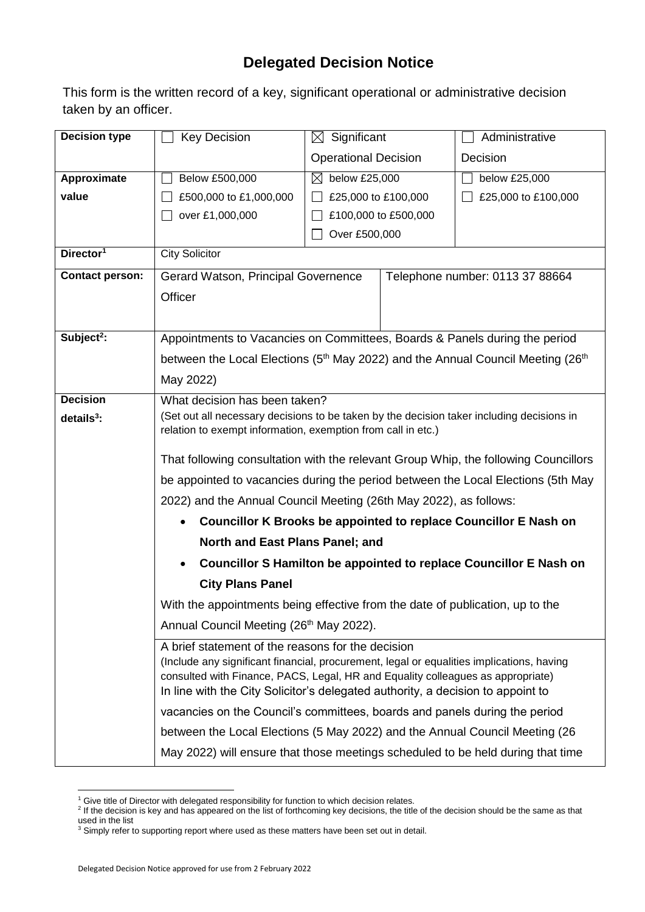## **Delegated Decision Notice**

This form is the written record of a key, significant operational or administrative decision taken by an officer.

| <b>Decision type</b>   | <b>Key Decision</b>                                                                                                                                                          | $\boxtimes$ Significant                                                         |  | Administrative                  |  |  |
|------------------------|------------------------------------------------------------------------------------------------------------------------------------------------------------------------------|---------------------------------------------------------------------------------|--|---------------------------------|--|--|
|                        |                                                                                                                                                                              | <b>Operational Decision</b>                                                     |  | Decision                        |  |  |
| Approximate            | Below £500,000                                                                                                                                                               | $\boxtimes$ below £25,000                                                       |  | below £25,000                   |  |  |
| value                  | £500,000 to £1,000,000                                                                                                                                                       | £25,000 to £100,000                                                             |  | £25,000 to £100,000             |  |  |
|                        | over £1,000,000                                                                                                                                                              | £100,000 to £500,000                                                            |  |                                 |  |  |
|                        |                                                                                                                                                                              | Over £500,000                                                                   |  |                                 |  |  |
| Director <sup>1</sup>  | <b>City Solicitor</b>                                                                                                                                                        |                                                                                 |  |                                 |  |  |
| <b>Contact person:</b> | Gerard Watson, Principal Governence                                                                                                                                          |                                                                                 |  | Telephone number: 0113 37 88664 |  |  |
|                        | Officer                                                                                                                                                                      |                                                                                 |  |                                 |  |  |
|                        |                                                                                                                                                                              |                                                                                 |  |                                 |  |  |
| Subject <sup>2</sup> : |                                                                                                                                                                              | Appointments to Vacancies on Committees, Boards & Panels during the period      |  |                                 |  |  |
|                        | between the Local Elections ( $5th$ May 2022) and the Annual Council Meeting (26 <sup>th</sup> )                                                                             |                                                                                 |  |                                 |  |  |
|                        | May 2022)                                                                                                                                                                    |                                                                                 |  |                                 |  |  |
| <b>Decision</b>        | What decision has been taken?                                                                                                                                                |                                                                                 |  |                                 |  |  |
| $details3$ :           | (Set out all necessary decisions to be taken by the decision taker including decisions in                                                                                    |                                                                                 |  |                                 |  |  |
|                        | relation to exempt information, exemption from call in etc.)                                                                                                                 |                                                                                 |  |                                 |  |  |
|                        | That following consultation with the relevant Group Whip, the following Councillors                                                                                          |                                                                                 |  |                                 |  |  |
|                        | be appointed to vacancies during the period between the Local Elections (5th May                                                                                             |                                                                                 |  |                                 |  |  |
|                        | 2022) and the Annual Council Meeting (26th May 2022), as follows:                                                                                                            |                                                                                 |  |                                 |  |  |
|                        | Councillor K Brooks be appointed to replace Councillor E Nash on<br>$\bullet$                                                                                                |                                                                                 |  |                                 |  |  |
|                        | North and East Plans Panel; and                                                                                                                                              |                                                                                 |  |                                 |  |  |
|                        | <b>Councillor S Hamilton be appointed to replace Councillor E Nash on</b>                                                                                                    |                                                                                 |  |                                 |  |  |
|                        | <b>City Plans Panel</b>                                                                                                                                                      |                                                                                 |  |                                 |  |  |
|                        | With the appointments being effective from the date of publication, up to the                                                                                                |                                                                                 |  |                                 |  |  |
|                        | Annual Council Meeting (26 <sup>th</sup> May 2022).                                                                                                                          |                                                                                 |  |                                 |  |  |
|                        | A brief statement of the reasons for the decision                                                                                                                            |                                                                                 |  |                                 |  |  |
|                        | (Include any significant financial, procurement, legal or equalities implications, having<br>consulted with Finance, PACS, Legal, HR and Equality colleagues as appropriate) |                                                                                 |  |                                 |  |  |
|                        | In line with the City Solicitor's delegated authority, a decision to appoint to                                                                                              |                                                                                 |  |                                 |  |  |
|                        | vacancies on the Council's committees, boards and panels during the period                                                                                                   |                                                                                 |  |                                 |  |  |
|                        |                                                                                                                                                                              | between the Local Elections (5 May 2022) and the Annual Council Meeting (26     |  |                                 |  |  |
|                        |                                                                                                                                                                              | May 2022) will ensure that those meetings scheduled to be held during that time |  |                                 |  |  |

1

<sup>&</sup>lt;sup>1</sup> Give title of Director with delegated responsibility for function to which decision relates.<br><sup>2</sup> If the decision is key and has appeared on the list of forthcoming key decisions, the title of the decision should be the used in the list

 $3$  Simply refer to supporting report where used as these matters have been set out in detail.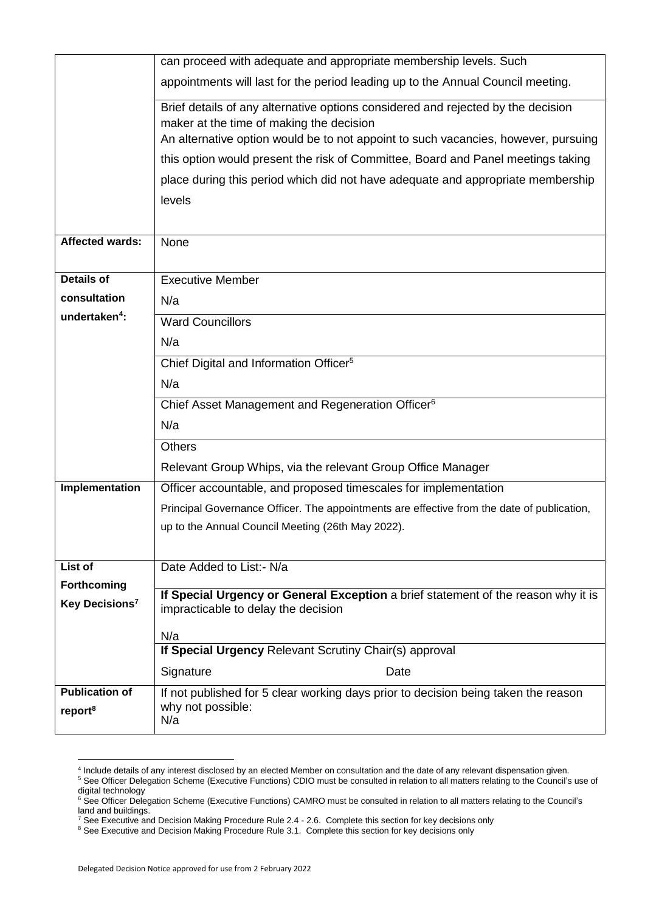|                            | can proceed with adequate and appropriate membership levels. Such                                                                                                                                                                                                                                                                                                                                                                                                            |  |  |  |  |  |
|----------------------------|------------------------------------------------------------------------------------------------------------------------------------------------------------------------------------------------------------------------------------------------------------------------------------------------------------------------------------------------------------------------------------------------------------------------------------------------------------------------------|--|--|--|--|--|
|                            | appointments will last for the period leading up to the Annual Council meeting.<br>Brief details of any alternative options considered and rejected by the decision<br>maker at the time of making the decision<br>An alternative option would be to not appoint to such vacancies, however, pursuing<br>this option would present the risk of Committee, Board and Panel meetings taking<br>place during this period which did not have adequate and appropriate membership |  |  |  |  |  |
|                            |                                                                                                                                                                                                                                                                                                                                                                                                                                                                              |  |  |  |  |  |
|                            |                                                                                                                                                                                                                                                                                                                                                                                                                                                                              |  |  |  |  |  |
|                            |                                                                                                                                                                                                                                                                                                                                                                                                                                                                              |  |  |  |  |  |
|                            |                                                                                                                                                                                                                                                                                                                                                                                                                                                                              |  |  |  |  |  |
|                            | levels                                                                                                                                                                                                                                                                                                                                                                                                                                                                       |  |  |  |  |  |
|                            |                                                                                                                                                                                                                                                                                                                                                                                                                                                                              |  |  |  |  |  |
| <b>Affected wards:</b>     | None                                                                                                                                                                                                                                                                                                                                                                                                                                                                         |  |  |  |  |  |
| <b>Details of</b>          |                                                                                                                                                                                                                                                                                                                                                                                                                                                                              |  |  |  |  |  |
| consultation               | <b>Executive Member</b>                                                                                                                                                                                                                                                                                                                                                                                                                                                      |  |  |  |  |  |
| undertaken <sup>4</sup> :  | N/a                                                                                                                                                                                                                                                                                                                                                                                                                                                                          |  |  |  |  |  |
|                            | <b>Ward Councillors</b>                                                                                                                                                                                                                                                                                                                                                                                                                                                      |  |  |  |  |  |
|                            | N/a                                                                                                                                                                                                                                                                                                                                                                                                                                                                          |  |  |  |  |  |
|                            | Chief Digital and Information Officer <sup>5</sup>                                                                                                                                                                                                                                                                                                                                                                                                                           |  |  |  |  |  |
|                            | N/a                                                                                                                                                                                                                                                                                                                                                                                                                                                                          |  |  |  |  |  |
|                            | Chief Asset Management and Regeneration Officer <sup>6</sup>                                                                                                                                                                                                                                                                                                                                                                                                                 |  |  |  |  |  |
|                            | N/a                                                                                                                                                                                                                                                                                                                                                                                                                                                                          |  |  |  |  |  |
|                            | <b>Others</b>                                                                                                                                                                                                                                                                                                                                                                                                                                                                |  |  |  |  |  |
|                            | Relevant Group Whips, via the relevant Group Office Manager                                                                                                                                                                                                                                                                                                                                                                                                                  |  |  |  |  |  |
| Implementation             | Officer accountable, and proposed timescales for implementation                                                                                                                                                                                                                                                                                                                                                                                                              |  |  |  |  |  |
|                            | Principal Governance Officer. The appointments are effective from the date of publication,                                                                                                                                                                                                                                                                                                                                                                                   |  |  |  |  |  |
|                            | up to the Annual Council Meeting (26th May 2022).                                                                                                                                                                                                                                                                                                                                                                                                                            |  |  |  |  |  |
| List of                    | Date Added to List: - N/a                                                                                                                                                                                                                                                                                                                                                                                                                                                    |  |  |  |  |  |
| Forthcoming                |                                                                                                                                                                                                                                                                                                                                                                                                                                                                              |  |  |  |  |  |
| Key Decisions <sup>7</sup> | If Special Urgency or General Exception a brief statement of the reason why it is<br>impracticable to delay the decision                                                                                                                                                                                                                                                                                                                                                     |  |  |  |  |  |
|                            | N/a                                                                                                                                                                                                                                                                                                                                                                                                                                                                          |  |  |  |  |  |
|                            | If Special Urgency Relevant Scrutiny Chair(s) approval                                                                                                                                                                                                                                                                                                                                                                                                                       |  |  |  |  |  |
|                            | Signature<br>Date                                                                                                                                                                                                                                                                                                                                                                                                                                                            |  |  |  |  |  |
| <b>Publication of</b>      | If not published for 5 clear working days prior to decision being taken the reason                                                                                                                                                                                                                                                                                                                                                                                           |  |  |  |  |  |
| report <sup>8</sup>        | why not possible:<br>N/a                                                                                                                                                                                                                                                                                                                                                                                                                                                     |  |  |  |  |  |
|                            |                                                                                                                                                                                                                                                                                                                                                                                                                                                                              |  |  |  |  |  |

 4 Include details of any interest disclosed by an elected Member on consultation and the date of any relevant dispensation given.

<sup>&</sup>lt;sup>5</sup> See Officer Delegation Scheme (Executive Functions) CDIO must be consulted in relation to all matters relating to the Council's use of digital technology

<sup>&</sup>lt;sup>6</sup> See Officer Delegation Scheme (Executive Functions) CAMRO must be consulted in relation to all matters relating to the Council's land and buildings.

 $^7$  See Executive and Decision Making Procedure Rule 2.4 - 2.6. Complete this section for key decisions only

<sup>&</sup>lt;sup>8</sup> See Executive and Decision Making Procedure Rule 3.1. Complete this section for key decisions only